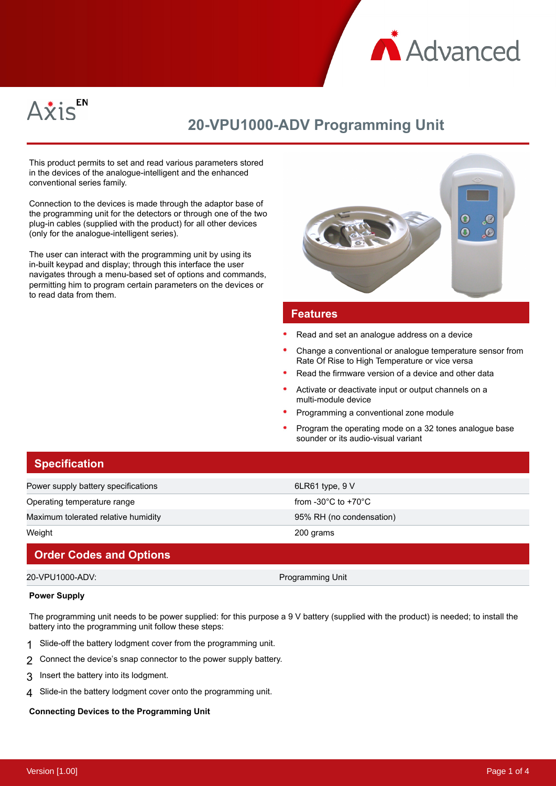



# **20-VPU1000-ADV Programming Unit**

This product permits to set and read various parameters stored in the devices of the analogue-intelligent and the enhanced conventional series family.

Connection to the devices is made through the adaptor base of the programming unit for the detectors or through one of the two plug-in cables (supplied with the product) for all other devices (only for the analogue-intelligent series).

The user can interact with the programming unit by using its in-built keypad and display; through this interface the user navigates through a menu-based set of options and commands, permitting him to program certain parameters on the devices or to read data from them.



### **Features**

- Read and set an analogue address on a device
- Change a conventional or analogue temperature sensor from Rate Of Rise to High Temperature or vice versa
- Read the firmware version of a device and other data
- Activate or deactivate input or output channels on a multi-module device
- Programming a conventional zone module
- Program the operating mode on a 32 tones analogue base sounder or its audio-visual variant

| <b>Specification</b>                |                                           |
|-------------------------------------|-------------------------------------------|
| Power supply battery specifications | $6LR61$ type, $9V$                        |
| Operating temperature range         | from -30 $^{\circ}$ C to +70 $^{\circ}$ C |
| Maximum tolerated relative humidity | 95% RH (no condensation)                  |
| Weight                              | 200 grams                                 |
|                                     |                                           |

## **Order Codes and Options**

## 20-VPU1000-ADV: Programming Unit

# **Power Supply**

The programming unit needs to be power supplied: for this purpose a 9 V battery (supplied with the product) is needed; to install the battery into the programming unit follow these steps:

- 1 Slide-off the battery lodgment cover from the programming unit.
- 2 Connect the device's snap connector to the power supply battery.
- 3 Insert the battery into its lodgment.
- 4 Slide-in the battery lodgment cover onto the programming unit.

#### **Connecting Devices to the Programming Unit**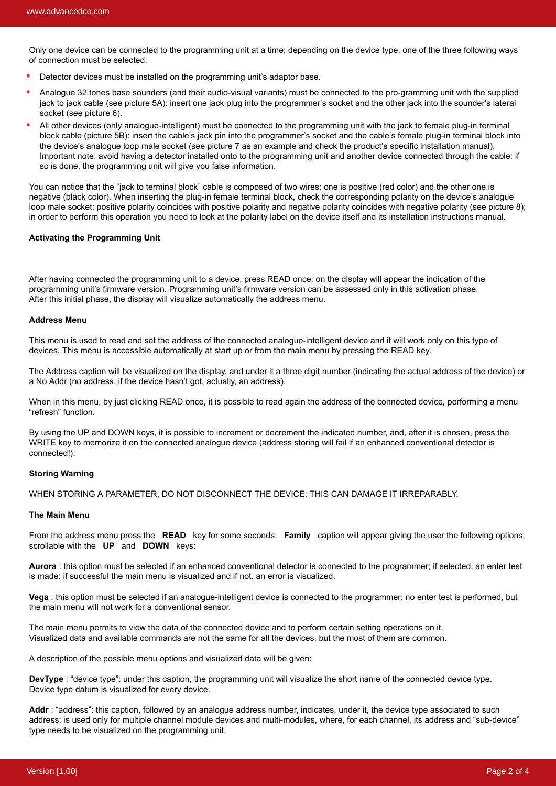Only one device can be connected to the programming unit at a time; depending on the device type, one of the three following ways of connection must be selected:

- Detector devices must be installed on the programming unit's adaptor base.
- Analogue 32 tones base sounders (and their audio-visual variants) must be connected to the pro-gramming unit with the supplied jack to jack cable (see picture 5A): insert one jack plug into the programmer's socket and the other jack into the sounder's lateral socket (see picture 6).
- All other devices (only analogue-intelligent) must be connected to the programming unit with the jack to female plug-in terminal block cable (picture 5B): insert the cable's jack pin into the programmer's socket and the cable's female plug-in terminal block into the device's analogue loop male socket (see picture 7 as an example and check the product's specific installation manual). Important note: avoid having a detector installed onto to the programming unit and another device connected through the cable: if so is done, the programming unit will give you false information.

You can notice that the "jack to terminal block" cable is composed of two wires: one is positive (red color) and the other one is negative (black color). When inserting the plug-in female terminal block, check the corresponding polarity on the device's analogue loop male socket: positive polarity coincides with positive polarity and negative polarity coincides with negative polarity (see picture 8); in order to perform this operation you need to look at the polarity label on the device itself and its installation instructions manual.

#### **Activating the Programming Unit**

After having connected the programming unit to a device, press READ once; on the display will appear the indication of the programming unit's firmware version. Programming unit's firmware version can be assessed only in this activation phase. After this initial phase, the display will visualize automatically the address menu.

#### **Address Menu**

This menu is used to read and set the address of the connected analogue-intelligent device and it will work only on this type of devices. This menu is accessible automatically at start up or from the main menu by pressing the READ key.

The Address caption will be visualized on the display, and under it a three digit number (indicating the actual address of the device) or a No Addr (no address, if the device hasn't got, actually, an address).

When in this menu, by just clicking READ once, it is possible to read again the address of the connected device, performing a menu "refresh" function.

By using the UP and DOWN keys, it is possible to increment or decrement the indicated number, and, after it is chosen, press the WRITE key to memorize it on the connected analogue device (address storing will fail if an enhanced conventional detector is connected!).

#### **Storing Warning**

WHEN STORING A PARAMETER, DO NOT DISCONNECT THE DEVICE: THIS CAN DAMAGE IT IRREPARABLY.

#### **The Main Menu**

From the address menu press the **READ** key for some seconds: **Family** caption will appear giving the user the following options, scrollable with the **UP** and **DOWN** keys:

**Aurora** : this option must be selected if an enhanced conventional detector is connected to the programmer; if selected, an enter test is made: if successful the main menu is visualized and if not, an error is visualized.

**Vega** : this option must be selected if an analogue-intelligent device is connected to the programmer; no enter test is performed, but the main menu will not work for a conventional sensor.

The main menu permits to view the data of the connected device and to perform certain setting operations on it. Visualized data and available commands are not the same for all the devices, but the most of them are common.

A description of the possible menu options and visualized data will be given:

**DevType** : "device type": under this caption, the programming unit will visualize the short name of the connected device type. Device type datum is visualized for every device.

Addr : "address": this caption, followed by an analogue address number, indicates, under it, the device type associated to such address; is used only for multiple channel module devices and multi-modules, where, for each channel, its address and "sub-device" type needs to be visualized on the programming unit.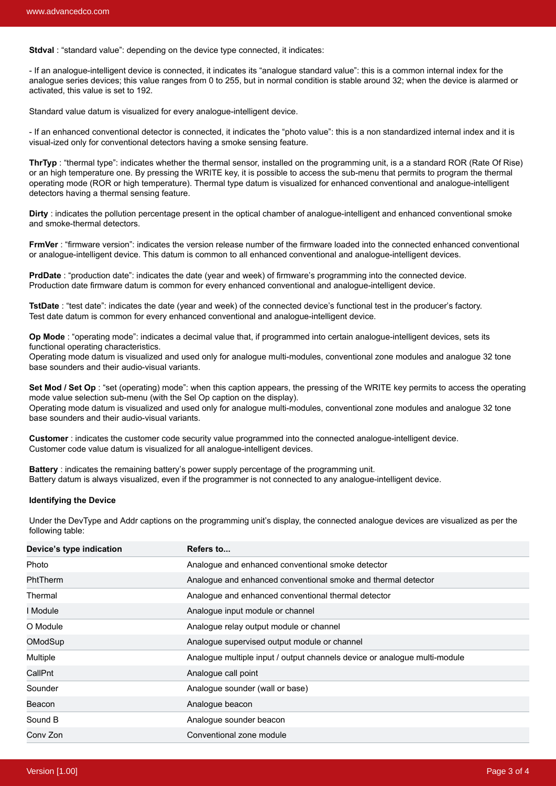**Stdval** : "standard value": depending on the device type connected, it indicates:

- If an analogue-intelligent device is connected, it indicates its "analogue standard value": this is a common internal index for the analogue series devices; this value ranges from 0 to 255, but in normal condition is stable around 32; when the device is alarmed or activated, this value is set to 192.

Standard value datum is visualized for every analogue-intelligent device.

- If an enhanced conventional detector is connected, it indicates the "photo value": this is a non standardized internal index and it is visual-ized only for conventional detectors having a smoke sensing feature.

**ThrTyp**: "thermal type": indicates whether the thermal sensor, installed on the programming unit, is a a standard ROR (Rate Of Rise) or an high temperature one. By pressing the WRITE key, it is possible to access the sub-menu that permits to program the thermal operating mode (ROR or high temperature). Thermal type datum is visualized for enhanced conventional and analogue-intelligent detectors having a thermal sensing feature.

**Dirty** : indicates the pollution percentage present in the optical chamber of analogue-intelligent and enhanced conventional smoke and smoke-thermal detectors.

**FrmVer** : "firmware version": indicates the version release number of the firmware loaded into the connected enhanced conventional or analogue-intelligent device. This datum is common to all enhanced conventional and analogue-intelligent devices.

**PrdDate** : "production date": indicates the date (year and week) of firmware's programming into the connected device. Production date firmware datum is common for every enhanced conventional and analogue-intelligent device.

**TstDate** : "test date": indicates the date (year and week) of the connected device's functional test in the producer's factory. Test date datum is common for every enhanced conventional and analogue-intelligent device.

**Op Mode** : "operating mode": indicates a decimal value that, if programmed into certain analogue-intelligent devices, sets its functional operating characteristics.

Operating mode datum is visualized and used only for analogue multi-modules, conventional zone modules and analogue 32 tone base sounders and their audio-visual variants.

Set Mod / Set Op : "set (operating) mode": when this caption appears, the pressing of the WRITE key permits to access the operating mode value selection sub-menu (with the Sel Op caption on the display). Operating mode datum is visualized and used only for analogue multi-modules, conventional zone modules and analogue 32 tone

base sounders and their audio-visual variants.

**Customer** : indicates the customer code security value programmed into the connected analogue-intelligent device. Customer code value datum is visualized for all analogue-intelligent devices.

**Battery** : indicates the remaining battery's power supply percentage of the programming unit. Battery datum is always visualized, even if the programmer is not connected to any analogue-intelligent device.

#### **Identifying the Device**

Under the DevType and Addr captions on the programming unit's display, the connected analogue devices are visualized as per the following table:

| Device's type indication | Refers to                                                                 |
|--------------------------|---------------------------------------------------------------------------|
| Photo                    | Analogue and enhanced conventional smoke detector                         |
| PhtTherm                 | Analogue and enhanced conventional smoke and thermal detector             |
| Thermal                  | Analogue and enhanced conventional thermal detector                       |
| I Module                 | Analogue input module or channel                                          |
| O Module                 | Analogue relay output module or channel                                   |
| OModSup                  | Analogue supervised output module or channel                              |
| Multiple                 | Analogue multiple input / output channels device or analogue multi-module |
| CallPnt                  | Analogue call point                                                       |
| Sounder                  | Analogue sounder (wall or base)                                           |
| Beacon                   | Analogue beacon                                                           |
| Sound B                  | Analogue sounder beacon                                                   |
| Conv Zon                 | Conventional zone module                                                  |